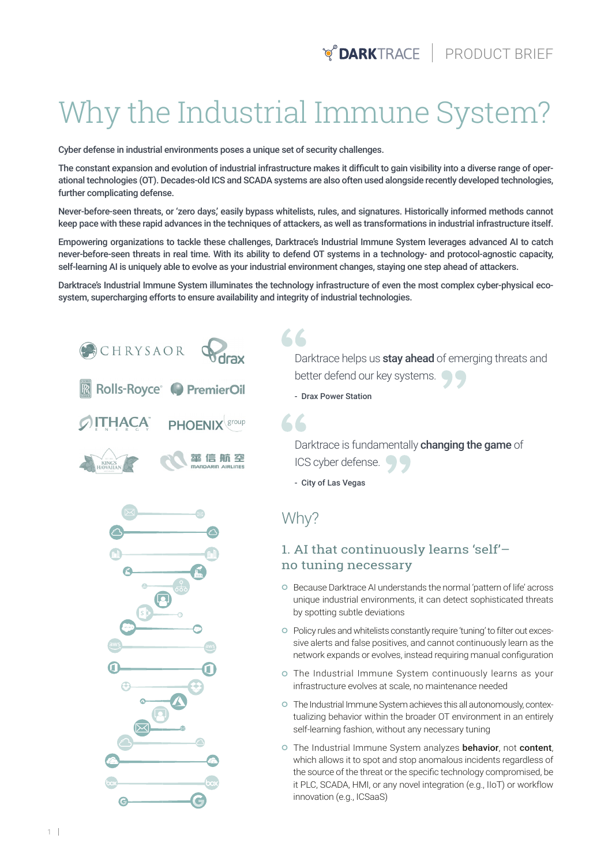# Why the Industrial Immune System?

Cyber defense in industrial environments poses a unique set of security challenges.

The constant expansion and evolution of industrial infrastructure makes it difficult to gain visibility into a diverse range of operational technologies (OT). Decades-old ICS and SCADA systems are also often used alongside recently developed technologies, further complicating defense.

Never-before-seen threats, or 'zero days,' easily bypass whitelists, rules, and signatures. Historically informed methods cannot keep pace with these rapid advances in the techniques of attackers, as well as transformations in industrial infrastructure itself.

Empowering organizations to tackle these challenges, Darktrace's Industrial Immune System leverages advanced AI to catch never-before-seen threats in real time. With its ability to defend OT systems in a technology- and protocol-agnostic capacity, self-learning AI is uniquely able to evolve as your industrial environment changes, staying one step ahead of attackers.

Darktrace's Industrial Immune System illuminates the technology infrastructure of even the most complex cyber-physical ecosystem, supercharging efforts to ensure availability and integrity of industrial technologies.

 $66$ 



Darktrace helps us stay ahead of emerging threats and better defend our key systems.  $\bigcirc$ 

- Drax Power Station

Darktrace is fundamentally **changing the game** of ICS cyber defense.

- City of Las Vegas

Why?

#### 1. AI that continuously learns 'self'– no tuning necessary

- Because Darktrace AI understands the normal 'pattern of life' across unique industrial environments, it can detect sophisticated threats by spotting subtle deviations
- Policy rules and whitelists constantly require 'tuning' to filter out excessive alerts and false positives, and cannot continuously learn as the network expands or evolves, instead requiring manual configuration
- The Industrial Immune System continuously learns as your infrastructure evolves at scale, no maintenance needed
- The Industrial Immune System achieves this all autonomously, contextualizing behavior within the broader OT environment in an entirely self-learning fashion, without any necessary tuning
- o The Industrial Immune System analyzes behavior, not content, which allows it to spot and stop anomalous incidents regardless of the source of the threat or the specific technology compromised, be it PLC, SCADA, HMI, or any novel integration (e.g., IIoT) or workflow innovation (e.g., ICSaaS)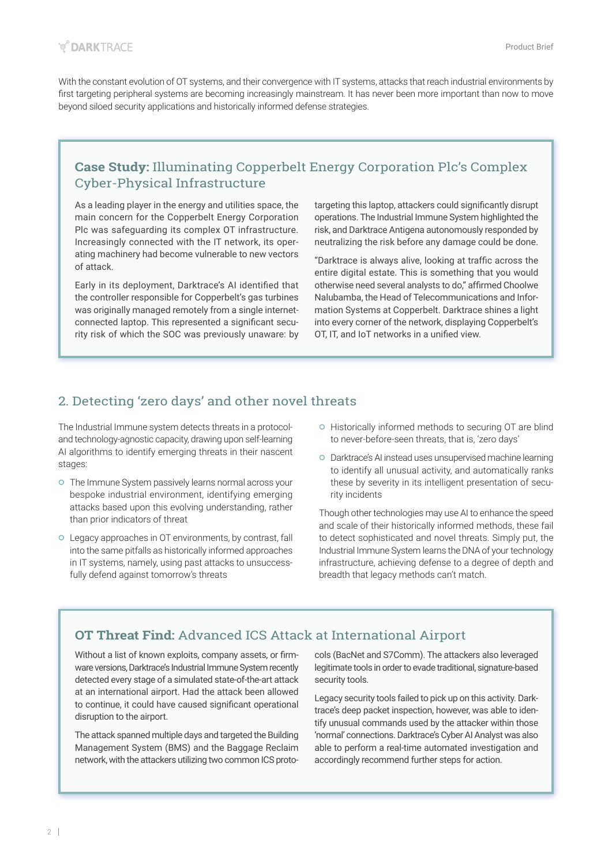With the constant evolution of OT systems, and their convergence with IT systems, attacks that reach industrial environments by first targeting peripheral systems are becoming increasingly mainstream. It has never been more important than now to move beyond siloed security applications and historically informed defense strategies.

### **Case Study:** Illuminating Copperbelt Energy Corporation Plc's Complex Cyber-Physical Infrastructure

As a leading player in the energy and utilities space, the main concern for the Copperbelt Energy Corporation Plc was safeguarding its complex OT infrastructure. Increasingly connected with the IT network, its operating machinery had become vulnerable to new vectors of attack.

Early in its deployment, Darktrace's AI identified that the controller responsible for Copperbelt's gas turbines was originally managed remotely from a single internetconnected laptop. This represented a significant security risk of which the SOC was previously unaware: by targeting this laptop, attackers could significantly disrupt operations. The Industrial Immune System highlighted the risk, and Darktrace Antigena autonomously responded by neutralizing the risk before any damage could be done.

"Darktrace is always alive, looking at traffic across the entire digital estate. This is something that you would otherwise need several analysts to do," affirmed Choolwe Nalubamba, the Head of Telecommunications and Information Systems at Copperbelt. Darktrace shines a light into every corner of the network, displaying Copperbelt's OT, IT, and IoT networks in a unified view.

#### 2. Detecting 'zero days' and other novel threats

The Industrial Immune system detects threats in a protocoland technology-agnostic capacity, drawing upon self-learning AI algorithms to identify emerging threats in their nascent stages:

- The Immune System passively learns normal across your bespoke industrial environment, identifying emerging attacks based upon this evolving understanding, rather than prior indicators of threat
- Legacy approaches in OT environments, by contrast, fall into the same pitfalls as historically informed approaches in IT systems, namely, using past attacks to unsuccessfully defend against tomorrow's threats
- o Historically informed methods to securing OT are blind to never-before-seen threats, that is, 'zero days'
- Darktrace's AI instead uses unsupervised machine learning to identify all unusual activity, and automatically ranks these by severity in its intelligent presentation of security incidents

Though other technologies may use AI to enhance the speed and scale of their historically informed methods, these fail to detect sophisticated and novel threats. Simply put, the Industrial Immune System learns the DNA of your technology infrastructure, achieving defense to a degree of depth and breadth that legacy methods can't match.

# **OT Threat Find:** Advanced ICS Attack at International Airport

Without a list of known exploits, company assets, or firmware versions, Darktrace's Industrial Immune System recently detected every stage of a simulated state-of-the-art attack at an international airport. Had the attack been allowed to continue, it could have caused significant operational disruption to the airport.

The attack spanned multiple days and targeted the Building Management System (BMS) and the Baggage Reclaim network, with the attackers utilizing two common ICS protocols (BacNet and S7Comm). The attackers also leveraged legitimate tools in order to evade traditional, signature-based security tools.

Legacy security tools failed to pick up on this activity. Darktrace's deep packet inspection, however, was able to identify unusual commands used by the attacker within those 'normal' connections. Darktrace's Cyber AI Analyst was also able to perform a real-time automated investigation and accordingly recommend further steps for action.